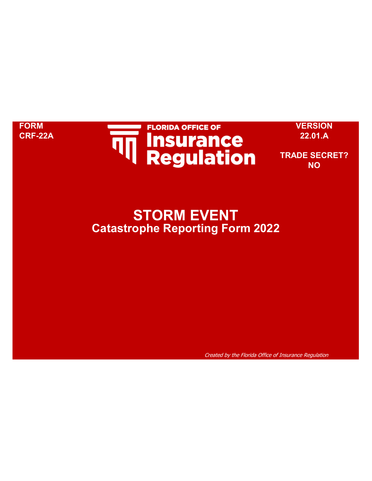

**FORM VERSION CRF-22A 22.01.A**

**TRADE SECRET? NO**

# **STORM EVENT Catastrophe Reporting Form 2022**

Created by the Florida Office of Insurance Regulation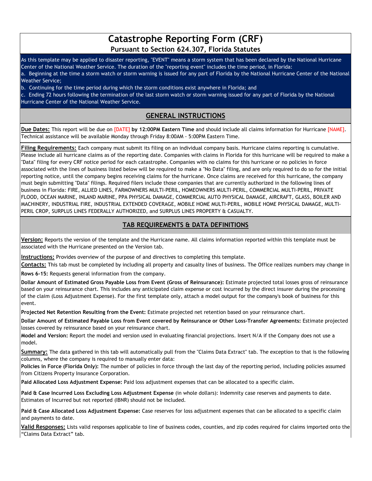# **Catastrophe Reporting Form (CRF) Pursuant to Section 624.307, Florida Statutes**

As this template may be applied to disaster reporting, "EVENT" means a storm system that has been declared by the National Hurricane Center of the National Weather Service. The duration of the "reporting event" includes the time period, in Florida: a. Beginning at the time a storm watch or storm warning is issued for any part of Florida by the National Hurricane Center of the National Weather Service;

b. Continuing for the time period during which the storm conditions exist anywhere in Florida; and

c. Ending 72 hours following the termination of the last storm watch or storm warning issued for any part of Florida by the National Hurricane Center of the National Weather Service.

# **GENERAL INSTRUCTIONS**

**Due Dates:** This report will be due on [DATE] **by 12:00PM Eastern Time** and should include all claims information for Hurricane [NAME]. Technical assistance will be available Monday through Friday 8:00AM - 5:00PM Eastern Time.

**Filing Requirements:** Each company must submit its filing on an individual company basis. Hurricane claims reporting is cumulative. Please include all hurricane claims as of the reporting date. Companies with claims in Florida for this hurricane will be required to make a "Data" filing for every CRF notice period for each catastrophe. Companies with no claims for this hurricane or no policies in force associated with the lines of business listed below will be required to make a "No Data" filing, and are only required to do so for the initial reporting notice, until the company begins receiving claims for the hurricane. Once claims are received for this hurricane, the company must begin submitting "Data" filings. Required filers include those companies that are currently authorized in the following lines of business in Florida: FIRE, ALLIED LINES, FARMOWNERS MULTI-PERIL, HOMEOWNERS MULTI-PERIL, COMMERCIAL MULTI-PERIL, PRIVATE FLOOD, OCEAN MARINE, INLAND MARINE, PPA PHYSICAL DAMAGE, COMMERCIAL AUTO PHYSICAL DAMAGE, AIRCRAFT, GLASS, BOILER AND MACHINERY, INDUSTRIAL FIRE, INDUSTRIAL EXTENDED COVERAGE, MOBILE HOME MULTI-PERIL, MOBILE HOME PHYSICAL DAMAGE, MULTI-PERIL CROP, SURPLUS LINES FEDERALLY AUTHORIZED, and SURPLUS LINES PROPERTY & CASUALTY.

# **TAB REQUIREMENTS & DATA DEFINITIONS**

**Version:** Reports the version of the template and the Hurricane name. All claims information reported within this template must be associated with the Hurricane presented on the Version tab.

**Instructions:** Provides overview of the purpose of and directives to completing this template.

**Contacts:** This tab must be completed by including all property and casualty lines of business. The Office realizes numbers may change in

**Rows 6-15:** Requests general information from the company.

**Dollar Amount of Estimated Gross Payable Loss from Event (Gross of Reinsurance):** Estimate projected total losses gross of reinsurance based on your reinsurance chart. This includes any anticipated claim expense or cost incurred by the direct insurer during the processing of the claim (Loss Adjustment Expense). For the first template only, attach a model output for the company's book of business for this event.

**Projected Net Retention Resulting from the Event:** Estimate projected net retention based on your reinsurance chart.

**Dollar Amount of Estimated Payable Loss from Event covered by Reinsurance or Other Loss-Transfer Agreements:** Estimate projected losses covered by reinsurance based on your reinsurance chart.

**Model and Version:** Report the model and version used in evaluating financial projections. Insert N/A if the Company does not use a model.

**Summary:** The data gathered in this tab will automatically pull from the "Claims Data Extract" tab. The exception to that is the following columns, where the company is required to manually enter data:

**Policies in Force (Florida Only):** The number of policies in force through the last day of the reporting period, including policies assumed from Citizens Property Insurance Corporation.

**Paid Allocated Loss Adjustment Expense:** Paid loss adjustment expenses that can be allocated to a specific claim.

**Paid & Case Incurred Loss Excluding Loss Adjustment Expense** (in whole dollars): Indemnity case reserves and payments to date. Estimates of Incurred but not reported (IBNR) should not be included.

**Paid & Case Allocated Loss Adjustment Expense:** Case reserves for loss adjustment expenses that can be allocated to a specific claim and payments to date.

**Valid Responses:** Lists valid responses applicable to line of business codes, counties, and zip codes required for claims imported onto the "Claims Data Extract" tab.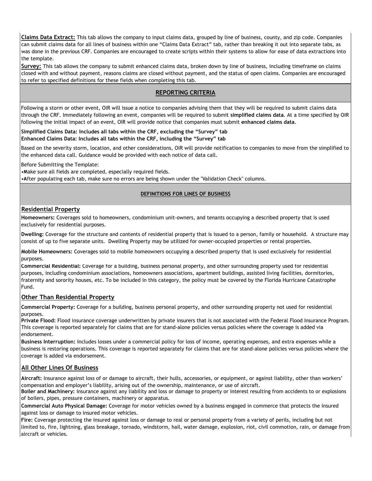**Claims Data Extract:** This tab allows the company to input claims data, grouped by line of business, county, and zip code. Companies can submit claims data for all lines of business within one "Claims Data Extract" tab, rather than breaking it out into separate tabs, as was done in the previous CRF. Companies are encouraged to create scripts within their systems to allow for ease of data extractions into the template.

**Survey:** This tab allows the company to submit enhanced claims data, broken down by line of business, including timeframe on claims closed with and without payment, reasons claims are closed without payment, and the status of open claims. Companies are encouraged to refer to specified definitions for these fields when completing this tab.

### **REPORTING CRITERIA**

Following a storm or other event, OIR will issue a notice to companies advising them that they will be required to submit claims data through the CRF. Immediately following an event, companies will be required to submit **simplified claims data**. At a time specified by OIR following the initial impact of an event, OIR will provide notice that companies must submit **enhanced claims data**.

#### **Simplified Claims Data: Includes all tabs within the CRF, excluding the "Survey" tab Enhanced Claims Data: Includes all tabs within the CRF, including the "Survey" tab**

Based on the severity storm, location, and other considerations, OIR will provide notification to companies to move from the simplified to the enhanced data call. Guidance would be provided with each notice of data call.

Before Submitting the Template:

• Make sure all fields are completed, especially required fields.

• After populating each tab, make sure no errors are being shown under the "Validation Check" columns.

#### **DEFINITIONS FOR LINES OF BUSINESS**

#### **Residential Property**

**Homeowners:** Coverages sold to homeowners, condominium unit-owners, and tenants occupying a described property that is used exclusively for residential purposes.

**Dwelling:** Coverage for the structure and contents of residential property that is issued to a person, family or household. A structure may consist of up to five separate units. Dwelling Property may be utilized for owner-occupied properties or rental properties.

**Mobile Homeowners:** Coverages sold to mobile homeowners occupying a described property that is used exclusively for residential purposes.

**Commercial Residential:** Coverage for a building, business personal property, and other surrounding property used for residential purposes, including condominium associations, homeowners associations, apartment buildings, assisted living facilities, dormitories, fraternity and sorority houses, etc. To be included in this category, the policy must be covered by the Florida Hurricane Catastrophe Fund.

#### **Other Than Residential Property**

**Commercial Property:** Coverage for a building, business personal property, and other surrounding property not used for residential purposes.

**Private Flood:** Flood insurance coverage underwritten by private insurers that is not associated with the Federal Flood Insurance Program. This coverage is reported separately for claims that are for stand-alone policies versus policies where the coverage is added via endorsement.

**Business Interruption:** Includes losses under a commercial policy for loss of income, operating expenses, and extra expenses while a business is restoring operations. This coverage is reported separately for claims that are for stand-alone policies versus policies where the coverage is added via endorsement.

#### **All Other Lines Of Business**

**Aircraft:** Insurance against loss of or damage to aircraft, their hulls, accessories, or equipment, or against liability, other than workers' compensation and employer's liability, arising out of the ownership, maintenance, or use of aircraft.

**Boiler and Machinery:** Insurance against any liability and loss or damage to property or interest resulting from accidents to or explosions of boilers, pipes, pressure containers, machinery or apparatus.

**Commercial Auto Physical Damage:** Coverage for motor vehicles owned by a business engaged in commerce that protects the insured against loss or damage to insured motor vehicles.

**Fire:** Coverage protecting the insured against loss or damage to real or personal property from a variety of perils, including but not limited to, fire, lightning, glass breakage, tornado, windstorm, hail, water damage, explosion, riot, civil commotion, rain, or damage from aircraft or vehicles.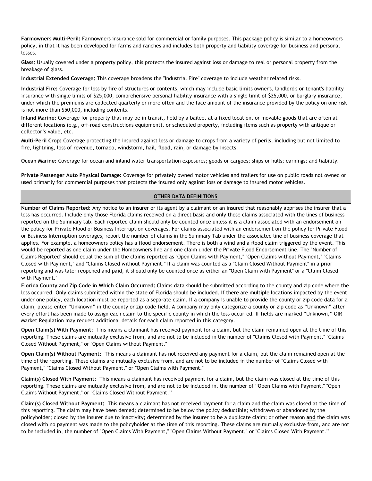**Farmowners Multi-Peril:** Farmowners insurance sold for commercial or family purposes. This package policy is similar to a homeowners policy, in that it has been developed for farms and ranches and includes both property and liability coverage for business and personal losses.

**Glass:** Usually covered under a property policy, this protects the insured against loss or damage to real or personal property from the breakage of glass.

**Industrial Extended Coverage:** This coverage broadens the "Industrial Fire" coverage to include weather related risks.

**Industrial Fire:** Coverage for loss by fire of structures or contents, which may include basic limits owner's, landlord's or tenant's liability insurance with single limits of \$25,000, comprehensive personal liability insurance with a single limit of \$25,000, or burglary insurance, under which the premiums are collected quarterly or more often and the face amount of the insurance provided by the policy on one risk is not more than \$50,000, including contents.

**Inland Marine:** Coverage for property that may be in transit, held by a bailee, at a fixed location, or movable goods that are often at different locations (e.g., off-road constructions equipment), or scheduled property, including items such as property with antique or collector's value, etc.

**Multi-Peril Crop:** Coverage protecting the insured against loss or damage to crops from a variety of perils, including but not limited to fire, lightning, loss of revenue, tornado, windstorm, hail, flood, rain, or damage by insects.

**Ocean Marine:** Coverage for ocean and inland water transportation exposures; goods or cargoes; ships or hulls; earnings; and liability.

**Private Passenger Auto Physical Damage:** Coverage for privately owned motor vehicles and trailers for use on public roads not owned or used primarily for commercial purposes that protects the insured only against loss or damage to insured motor vehicles.

#### **OTHER DATA DEFINITIONS**

**Number of Claims Reported:** Any notice to an insurer or its agent by a claimant or an insured that reasonably apprises the insurer that a loss has occurred. Include only those Florida claims received on a direct basis and only those claims associated with the lines of business reported on the Summary tab. Each reported claim should only be counted once unless it is a claim associated with an endorsement on the policy for Private Flood or Business Interruption coverages. For claims associated with an endorsement on the policy for Private Flood or Business Interruption coverages, report the number of claims in the Summary Tab under the associated line of business coverage that applies. For example, a homeowners policy has a flood endorsement. There is both a wind and a flood claim triggered by the event. This would be reported as one claim under the Homeowners line and one claim under the Private Flood Endorsement line. The "Number of Claims Reported" should equal the sum of the claims reported as "Open Claims with Payment," "Open Claims without Payment," "Claims Closed with Payment," and "Claims Closed without Payment." If a claim was counted as a "Claim Closed Without Payment" in a prior reporting and was later reopened and paid, it should only be counted once as either an "Open Claim with Payment" or a "Claim Closed with Payment."

**Florida County and Zip Code in Which Claim Occurred:** Claims data should be submitted according to the county and zip code where the loss occurred. Only claims submitted within the state of Florida should be included. If there are multiple locations impacted by the event under one policy, each location must be reported as a separate claim. If a company is unable to provide the county or zip code data for a claim, please enter "Unknown" in the county or zip code field. A company may only categorize a county or zip code as "Unknown" after every effort has been made to assign each claim to the specific county in which the loss occurred. If fields are marked "Unknown," OIR Market Regulation may request additional details for each claim reported in this category.

**Open Claim(s) With Payment:** This means a claimant has received payment for a claim, but the claim remained open at the time of this reporting. These claims are mutually exclusive from, and are not to be included in the number of "Claims Closed with Payment," "Claims Closed Without Payment," or "Open Claims without Payment."

**Open Claim(s) Without Payment:** This means a claimant has not received any payment for a claim, but the claim remained open at the time of the reporting. These claims are mutually exclusive from, and are not to be included in the number of "Claims Closed with Payment," "Claims Closed Without Payment," or "Open Claims with Payment."

**Claim(s) Closed With Payment:** This means a claimant has received payment for a claim, but the claim was closed at the time of this reporting. These claims are mutually exclusive from, and are not to be included in, the number of "Open Claims with Payment," "Open Claims Without Payment," or "Claims Closed Without Payment."

**Claim(s) Closed Without Payment:** This means a claimant has not received payment for a claim and the claim was closed at the time of this reporting. The claim may have been denied; determined to be below the policy deductible; withdrawn or abandoned by the policyholder; closed by the insurer due to inactivity; determined by the insurer to be a duplicate claim; or other reason **and** the claim was closed with no payment was made to the policyholder at the time of this reporting. These claims are mutually exclusive from, and are not to be included in, the number of "Open Claims With Payment," "Open Claims Without Payment," or "Claims Closed With Payment."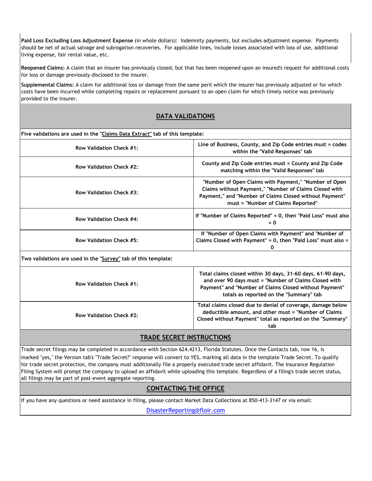**Paid Loss Excluding Loss Adjustment Expense** (in whole dollars): Indemnity payments, but excludes adjustment expense. Payments should be net of actual salvage and subrogation recoveries. For applicable lines, include losses associated with loss of use, additional living expense, fair rental value, etc.

**Reopened Claims:** A claim that an insurer has previously closed, but that has been reopened upon an insured's request for additional costs for loss or damage previously disclosed to the insurer.

**Supplemental Claims:** A claim for additional loss or damage from the same peril which the insurer has previously adjusted or for which costs have been incurred while completing repairs or replacement pursuant to an open claim for which timely notice was previously provided to the insurer.

# **DATA VALIDATIONS**

#### **Five validations are used in the "Claims Data Extract" tab of this template:**

| Row Validation Check #1: | Line of Business, County, and Zip Code entries must = codes<br>within the "Valid Responses" tab                                                                                                                  |
|--------------------------|------------------------------------------------------------------------------------------------------------------------------------------------------------------------------------------------------------------|
| Row Validation Check #2: | County and Zip Code entries must = County and Zip Code<br>matching within the "Valid Responses" tab                                                                                                              |
| Row Validation Check #3: | "Number of Open Claims with Payment," "Number of Open<br>Claims without Payment," "Number of Claims Closed with<br>Payment," and "Number of Claims Closed without Payment"<br>must = "Number of Claims Reported" |
| Row Validation Check #4: | If "Number of Claims Reported" $= 0$ , then "Paid Loss" must also<br>$= 0$                                                                                                                                       |
| Row Validation Check #5: | If "Number of Open Claims with Payment" and "Number of<br>Claims Closed with Payment" = 0, then "Paid Loss" must also =                                                                                          |

#### **Two validations are used in the "Survey" tab of this template:**

| Row Validation Check #1: | Total claims closed within 30 days, 31-60 days, 61-90 days,<br>and over 90 days must = "Number of Claims Closed with<br>Payment" and "Number of Claims Closed without Payment"<br>totals as reported on the "Summary" tab |
|--------------------------|---------------------------------------------------------------------------------------------------------------------------------------------------------------------------------------------------------------------------|
| Row Validation Check #2: | Total claims closed due to denial of coverage, damage below<br>deductible amount, and other must = "Number of Claims"<br>Closed without Payment" total as reported on the "Summary"<br>tab                                |

# **TRADE SECRET INSTRUCTIONS**

all filings may be part of post-event aggregate reporting. Filing System will prompt the company to upload an affidavit while uploading this template. Regardless of a filing's trade secret status, Trade secret filings may be completed in accordance with Section 624.4213, Florida Statutes. Once the Contacts tab, row 16, is marked "yes," the Version tab's "Trade Secret?" response will convert to YES, marking all data in the template Trade Secret. To qualify for trade secret protection, the company must additionally file a properly executed trade secret affidavit. The Insurance Regulation

# **CONTACTING THE OFFICE**

If you have any questions or need assistance in filing, please contact Market Data Collections at 850-413-3147 or via email:

[DisasterReporting](mailto:DisasterReporting@floir.com)@floir.com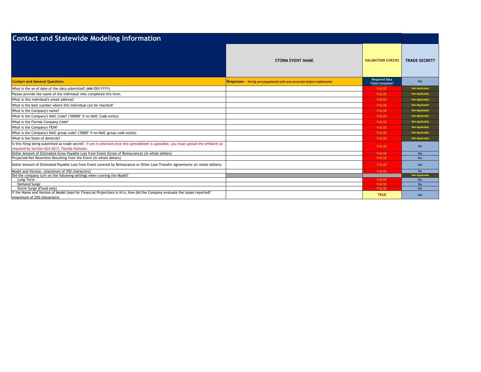| <b>Contact and Statewide Modeling Information</b>                                                                                                                                         |                                                                       |                                                |                        |
|-------------------------------------------------------------------------------------------------------------------------------------------------------------------------------------------|-----------------------------------------------------------------------|------------------------------------------------|------------------------|
|                                                                                                                                                                                           | <b>STORM EVENT NAME</b>                                               | <b>VALIDATION CHECKS</b>                       | <b>TRADE SECRET?</b>   |
| <b>Contact and General Questions</b>                                                                                                                                                      | Responses - Verify pre-populated cells are accurate before submission | <b>Required Data</b><br><b>Field Complete?</b> | <b>No</b>              |
| What is the as-of date of the data submitted? (MM/DD/YYYY)                                                                                                                                |                                                                       | <b>FALSE</b>                                   | <b>Not Applicable</b>  |
| Please provide the name of the individual who completed this form.                                                                                                                        |                                                                       | <b>FALSE</b>                                   | <b>Not Applicable</b>  |
| What is this individual's email address?                                                                                                                                                  |                                                                       | <b>FALSE</b>                                   | <b>Not Applicable</b>  |
| What is the best number where this individual can be reached?                                                                                                                             |                                                                       | <b>FALSE</b>                                   | <b>Not Applicable</b>  |
| What is the Company's name?                                                                                                                                                               |                                                                       | <b>FALSE</b>                                   | <b>Not Applicable</b>  |
| What is the Company's NAIC Code? ("00000" if no NAIC Code exists)                                                                                                                         |                                                                       | <b>FALSE</b>                                   | <b>Not Applicable</b>  |
| What is the Florida Company Code?                                                                                                                                                         |                                                                       | <b>FALSE</b>                                   | <b>Not Applicable</b>  |
| What is the Company's FEIN?                                                                                                                                                               |                                                                       | <b>FALSE</b>                                   | <b>Not Applicable</b>  |
| What is the Company's NAIC group code? ("0000" if no NAIC group code exists)                                                                                                              |                                                                       | <b>FALSE</b>                                   | <b>Not Applicable</b>  |
| What is the State of domicile?                                                                                                                                                            |                                                                       | <b>FALSE</b>                                   | <b>Not Applicable</b>  |
| Is this filing being submitted as trade secret? If yes is selected once this spreadsheet is uploaded, you must upload the affidavit as<br>required by Section 624.4213, Florida Statutes. |                                                                       | <b>FALSE</b>                                   | <b>No</b>              |
| Dollar Amount of Estimated Gross Payable Loss from Event (Gross of Reinsurance) (in whole dollars)                                                                                        |                                                                       | <b>FALSE</b>                                   | <b>No</b>              |
| Projected Net Retention Resulting from the Event (in whole dollars)                                                                                                                       |                                                                       | <b>FALSE</b>                                   | <b>No</b>              |
| Dollar Amount of Estimated Payable Loss from Event covered by Reinsurance or Other Loss-Transfer Agreements (in whole dollars)                                                            |                                                                       | <b>FALSE</b>                                   | <b>No</b>              |
| Model and Version. (maximum of 250 characters)                                                                                                                                            |                                                                       | <b>FALSE</b>                                   | <b>No</b>              |
| Did the company turn on the following settings when running the Model?                                                                                                                    |                                                                       |                                                | <b>Not Applicable</b>  |
| Long-Term<br>Demand Surge                                                                                                                                                                 |                                                                       | <b>FALSE</b><br><b>FALSE</b>                   | <b>No</b><br><b>No</b> |
| Storm Surge (Flood only)                                                                                                                                                                  |                                                                       | <b>FALSE</b>                                   | <b>No</b>              |
| f the Name and Version of Model Used for Financial Projections is N/A, how did the Company evaluate the losses reported?                                                                  |                                                                       |                                                |                        |
| (maximum of 250 characters)                                                                                                                                                               |                                                                       | <b>TRUE</b>                                    | <b>No</b>              |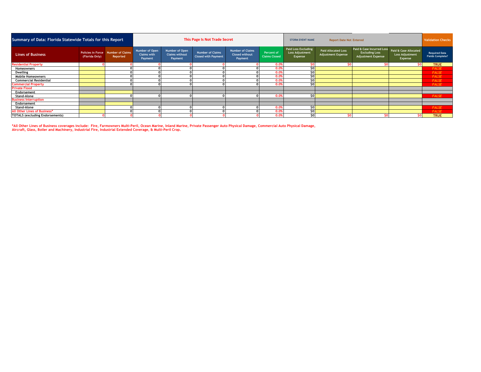| Summary of Data: Florida Statewide Totals for this Report |                |                                                |                                                 |                                                    | This Page Is Not Trade Secret                         |                                                             |                                           | <b>Report Date Not Entered</b><br><b>STORM EVENT NAME</b>       |                                                         |                                                                                 |                                                            | <b>Validation Checks</b>                        |
|-----------------------------------------------------------|----------------|------------------------------------------------|-------------------------------------------------|----------------------------------------------------|-------------------------------------------------------|-------------------------------------------------------------|-------------------------------------------|-----------------------------------------------------------------|---------------------------------------------------------|---------------------------------------------------------------------------------|------------------------------------------------------------|-------------------------------------------------|
| <b>Lines of Business</b>                                  | (Florida Only) | Policies in Force Number of Claims<br>Reported | Number of Open<br><b>Claims with</b><br>Payment | Number of Open<br><b>Claims without</b><br>Payment | <b>Number of Claims</b><br><b>Closed with Payment</b> | <b>Number of Claims</b><br><b>Closed without</b><br>Payment | <b>Percent of</b><br><b>Claims Closed</b> | <b>Paid Loss Excluding</b><br><b>Loss Adjustment</b><br>Expense | <b>Paid Allocated Loss</b><br><b>Adjustment Expense</b> | Paid & Case Incurred Loss<br><b>Excluding Loss</b><br><b>Adjustment Expense</b> | Paid & Case Allocated<br><b>Loss Adjustment</b><br>Expense | <b>Required Data</b><br><b>Fields Complete?</b> |
| <b>Residential Property</b>                               |                |                                                |                                                 |                                                    |                                                       |                                                             | 0.0%                                      |                                                                 |                                                         | sol                                                                             | <b>SO</b>                                                  | <b>TRUE</b>                                     |
| <b>Homeowners</b>                                         |                |                                                |                                                 |                                                    |                                                       |                                                             | 0.09                                      | \$0                                                             |                                                         |                                                                                 |                                                            | <b>FALSE</b>                                    |
| <b>Dwelling</b>                                           |                |                                                |                                                 |                                                    |                                                       |                                                             | 0.09                                      | \$0                                                             |                                                         |                                                                                 |                                                            | <b>FALSE</b>                                    |
| <b>Mobile Homeowners</b>                                  |                |                                                |                                                 |                                                    |                                                       |                                                             | 0.09                                      | \$0                                                             |                                                         |                                                                                 |                                                            | <b>FALSE</b>                                    |
| <b>Commercial Residential</b>                             |                |                                                |                                                 |                                                    |                                                       |                                                             | 0.09                                      | \$0                                                             |                                                         |                                                                                 |                                                            | <b>FALSE</b>                                    |
| <b>Commercial Property</b>                                |                |                                                |                                                 |                                                    |                                                       |                                                             | 0.09                                      | \$0                                                             |                                                         |                                                                                 |                                                            | <b>FALSE</b>                                    |
| <b>Private Flood</b>                                      |                |                                                |                                                 |                                                    |                                                       |                                                             |                                           |                                                                 |                                                         |                                                                                 |                                                            |                                                 |
| Endorsement                                               |                |                                                |                                                 |                                                    |                                                       |                                                             |                                           |                                                                 |                                                         |                                                                                 |                                                            |                                                 |
| Stand-Alone                                               |                |                                                |                                                 |                                                    |                                                       |                                                             | 0.0%                                      | \$O                                                             |                                                         |                                                                                 |                                                            | <b>FALSE</b>                                    |
| <b>Business Interruption</b>                              |                |                                                |                                                 |                                                    |                                                       |                                                             |                                           |                                                                 |                                                         |                                                                                 |                                                            |                                                 |
| Endorsement                                               |                |                                                |                                                 |                                                    |                                                       |                                                             |                                           |                                                                 |                                                         |                                                                                 |                                                            |                                                 |
| Stand-Alone                                               |                |                                                |                                                 |                                                    |                                                       |                                                             | 0.0%                                      | \$0                                                             |                                                         |                                                                                 |                                                            | <b>FALSE</b>                                    |
| All Other Lines of Business*                              |                |                                                |                                                 |                                                    |                                                       |                                                             | 0.09                                      | \$0                                                             |                                                         |                                                                                 |                                                            | <b>FALSE</b>                                    |
| <b>TOTALS (excluding Endorsements)</b>                    |                |                                                |                                                 |                                                    |                                                       |                                                             | 0.0%                                      | ¢٥                                                              |                                                         | SO <sub>1</sub>                                                                 | 50 <sub>1</sub>                                            | <b>TRUE</b>                                     |

\*All Other Lines of Business coverages include: Fire, Farmowners Multi-Peril, Ocean Marine, Inland Marine, Private Passenger Auto Physical Damage, Commercial Auto Physical Damage,<br>Aircraft, Glass, Boiler and Machinery, Ind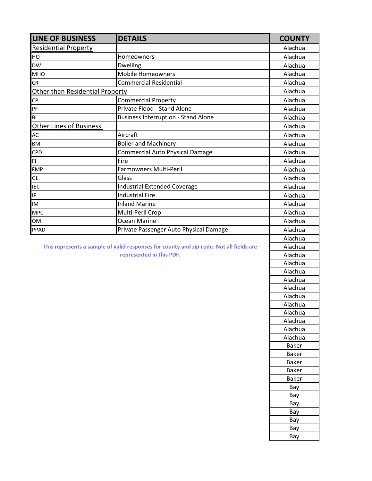| <b>LINE OF BUSINESS</b>                                                                 | <b>DETAILS</b>                             | <b>COUNTY</b> |
|-----------------------------------------------------------------------------------------|--------------------------------------------|---------------|
| <b>Residential Property</b>                                                             |                                            | Alachua       |
| HO                                                                                      | Homeowners                                 | Alachua       |
| <b>DW</b>                                                                               | Dwelling                                   | Alachua       |
| <b>MHO</b>                                                                              | <b>Mobile Homeowners</b>                   | Alachua       |
| <b>CR</b>                                                                               | <b>Commercial Residential</b>              | Alachua       |
| Other than Residential Property                                                         |                                            | Alachua       |
| <b>CP</b>                                                                               | Commercial Property                        | Alachua       |
| PF                                                                                      | Private Flood - Stand Alone                | Alachua       |
| BI                                                                                      | <b>Business Interruption - Stand Alone</b> | Alachua       |
| <b>Other Lines of Business</b>                                                          |                                            | Alachua       |
| AC                                                                                      | Aircraft                                   | Alachua       |
| <b>BM</b>                                                                               | <b>Boiler and Machinery</b>                | Alachua       |
| <b>CPD</b>                                                                              | <b>Commercial Auto Physical Damage</b>     | Alachua       |
| FI                                                                                      | Fire                                       | Alachua       |
| <b>FMP</b>                                                                              | Farmowners Multi-Peril                     | Alachua       |
| GL                                                                                      | Glass                                      | Alachua       |
| <b>IEC</b>                                                                              | <b>Industrial Extended Coverage</b>        | Alachua       |
| IF.                                                                                     | <b>Industrial Fire</b>                     | Alachua       |
| <b>IM</b>                                                                               | <b>Inland Marine</b>                       | Alachua       |
| <b>MPC</b>                                                                              | Multi-Peril Crop                           | Alachua       |
| OM                                                                                      | Ocean Marine                               | Alachua       |
| <b>PPAD</b>                                                                             | Private Passenger Auto Physical Damage     | Alachua       |
|                                                                                         |                                            | Alachua       |
| This represents a sample of valid responses for county and zip code. Not all fields are | Alachua                                    |               |
|                                                                                         | represented in this PDF.                   | Alachua       |
|                                                                                         |                                            | Alachua       |
|                                                                                         |                                            | Alachua       |
|                                                                                         |                                            | Alachua       |
|                                                                                         |                                            | Alachua       |
|                                                                                         |                                            | Alachua       |
|                                                                                         |                                            | Alachua       |
|                                                                                         |                                            | Alachua       |
|                                                                                         |                                            | Alachua       |
|                                                                                         |                                            | Alachua       |
|                                                                                         |                                            | Alachua       |
|                                                                                         |                                            | <b>Baker</b>  |
|                                                                                         |                                            | <b>Baker</b>  |
|                                                                                         |                                            | <b>Baker</b>  |
|                                                                                         |                                            | <b>Baker</b>  |
|                                                                                         |                                            | <b>Baker</b>  |
|                                                                                         |                                            | Bay           |
|                                                                                         |                                            | Bay<br>Bay    |
|                                                                                         |                                            | Bay           |
|                                                                                         |                                            | Bay           |
|                                                                                         |                                            | Bay           |
|                                                                                         |                                            | Bay           |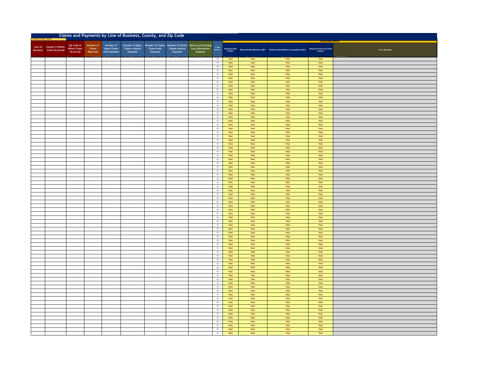|                                                           |                                               |                                 |                                                 | Claims and Payments by Line of Business, County, and Zip Code |                        |                           |                                                                                     |                            |                     |              |                                                                                                                      |              |                       |
|-----------------------------------------------------------|-----------------------------------------------|---------------------------------|-------------------------------------------------|---------------------------------------------------------------|------------------------|---------------------------|-------------------------------------------------------------------------------------|----------------------------|---------------------|--------------|----------------------------------------------------------------------------------------------------------------------|--------------|-----------------------|
| Line of County in Which<br><b>Business</b> Claim Occurred | Zip Code in<br><b>Which Claim</b><br>Occurred | Number of<br>Claims<br>Reported | Number of<br><b>Open Claims</b><br>with Payment | Number of Open<br><b>Claims without</b><br>Payment            | Closed with<br>Payment | Closed without<br>Payment | Number of Claims Number of Claims Paid Loss Excluding<br>Loss Adjustment<br>Expense | $\sf Trade$<br>Secret ?    |                     |              | Required Data<br>Fields? Required Data Matches LOB? Required Data Matches County/Zip Codes? Required Claims and Paid |              | <b>Error Messages</b> |
|                                                           |                                               |                                 |                                                 |                                                               |                        |                           |                                                                                     | $\,$ No $\,$               | TRUE                | TRUE         | TRUE                                                                                                                 | TRUE         |                       |
|                                                           |                                               |                                 |                                                 |                                                               |                        |                           |                                                                                     | $_{\rm No}$                | TRUE                | TRUE         | TRUE                                                                                                                 | TRUE         |                       |
|                                                           |                                               |                                 |                                                 |                                                               |                        |                           |                                                                                     | $_{\rm No}$                | TRUE                | TRUE         | TRUE<br>TRUE                                                                                                         | TRUE         |                       |
|                                                           |                                               |                                 |                                                 |                                                               |                        |                           |                                                                                     | $_{\rm No}$<br>$_{\rm No}$ | TRUE<br>TRUE        | TRUE<br>TRUE | TRUE                                                                                                                 | TRUE<br>TRUE |                       |
|                                                           |                                               |                                 |                                                 |                                                               |                        |                           |                                                                                     | $_{\rm No}$                | TRUE                | TRUE         | TRUE                                                                                                                 | TRUE         |                       |
|                                                           |                                               |                                 |                                                 |                                                               |                        |                           |                                                                                     | No<br>No                   | TRUE<br>TRUE        | TRUE<br>TRUE | TRUE<br>TRUE                                                                                                         | TRUE<br>TRUE |                       |
|                                                           |                                               |                                 |                                                 |                                                               |                        |                           |                                                                                     | No                         | TRUE                | TRUE         | TRUE                                                                                                                 | TRUE         |                       |
|                                                           |                                               |                                 |                                                 |                                                               |                        |                           |                                                                                     | No                         | TRUE                | TRUE         | TRUE                                                                                                                 | TRUE         |                       |
|                                                           |                                               |                                 |                                                 |                                                               |                        |                           |                                                                                     | $_{\rm No}$                | TRUE                | TRUE         | TRUE                                                                                                                 | TRUE         |                       |
|                                                           |                                               |                                 |                                                 |                                                               |                        |                           |                                                                                     | $_{\rm No}$<br>$_{\rm No}$ | TRUE<br>TRUE        | TRUE<br>TRUE | TRUE<br>TRUE                                                                                                         | TRUE<br>TRUE |                       |
|                                                           |                                               |                                 |                                                 |                                                               |                        |                           |                                                                                     | $_{\rm No}$                | TRUE                | TRUE         | TRUE                                                                                                                 | TRUE         |                       |
|                                                           |                                               |                                 |                                                 |                                                               |                        |                           |                                                                                     | $_{\rm No}$                | TRUE                | TRUE         | TRUE                                                                                                                 | TRUE         |                       |
|                                                           |                                               |                                 |                                                 |                                                               |                        |                           |                                                                                     | $_{\rm No}$<br>$_{\rm No}$ | TRUE<br>TRUE        | TRUE<br>TRUE | TRUE<br>TRUE                                                                                                         | TRUE<br>TRUE |                       |
|                                                           |                                               |                                 |                                                 |                                                               |                        |                           |                                                                                     | $_{\rm No}$                | TRUE                | TRUE         | TRUE                                                                                                                 | TRUE         |                       |
|                                                           |                                               |                                 |                                                 |                                                               |                        |                           |                                                                                     | $_{\rm No}$                | TRUE                | TRUE         | TRUE                                                                                                                 | TRUE         |                       |
|                                                           |                                               |                                 |                                                 |                                                               |                        |                           |                                                                                     | No<br>No                   | TRUE<br>TRUE        | TRUE<br>TRUE | TRUE<br>TRUE                                                                                                         | TRUE<br>TRUE |                       |
|                                                           |                                               |                                 |                                                 |                                                               |                        |                           |                                                                                     | $_{\rm No}$                | TRUE                | TRUE         | TRUE                                                                                                                 | TRUE         |                       |
|                                                           |                                               |                                 |                                                 |                                                               |                        |                           |                                                                                     | $_{\rm No}$                | TRUE                | TRUE         | TRUE                                                                                                                 | TRUE         |                       |
|                                                           |                                               |                                 |                                                 |                                                               |                        |                           |                                                                                     | No                         | TRUE                | TRUE         | TRUE                                                                                                                 | TRUE         |                       |
|                                                           |                                               |                                 |                                                 |                                                               |                        |                           |                                                                                     | $_{\rm No}$<br>No          | TRUE<br>TRUE        | TRUE<br>TRUE | TRUE<br>TRUE                                                                                                         | TRUE<br>TRUE |                       |
|                                                           |                                               |                                 |                                                 |                                                               |                        |                           |                                                                                     | $_{\rm No}$                | TRUE                | TRUE         | TRUE                                                                                                                 | TRUE         |                       |
|                                                           |                                               |                                 |                                                 |                                                               |                        |                           |                                                                                     | $_{\mathrm{No}}$           | TRUE                | TRUE         | TRUE                                                                                                                 | TRUE         |                       |
|                                                           |                                               |                                 |                                                 |                                                               |                        |                           |                                                                                     | $_{\rm No}$<br>$_{\rm No}$ | TRUE<br>TRUE        | TRUE<br>TRUE | TRUE<br>TRUE                                                                                                         | TRUE<br>TRUE |                       |
|                                                           |                                               |                                 |                                                 |                                                               |                        |                           |                                                                                     | No                         | TRUE                | TRUE         | TRUE                                                                                                                 | TRUE         |                       |
|                                                           |                                               |                                 |                                                 |                                                               |                        |                           |                                                                                     | No                         | TRUE                | TRUE         | TRUE                                                                                                                 | TRUE         |                       |
|                                                           |                                               |                                 |                                                 |                                                               |                        |                           |                                                                                     | No<br>No                   | TRUE<br>TRUE        | TRUE<br>TRUE | TRUE<br>TRUE                                                                                                         | TRUE<br>TRUE |                       |
|                                                           |                                               |                                 |                                                 |                                                               |                        |                           |                                                                                     | $_{\rm No}$                | TRUE                | TRUE         | TRUE                                                                                                                 | TRUE         |                       |
|                                                           |                                               |                                 |                                                 |                                                               |                        |                           |                                                                                     | $_{\rm No}$                | TRUE                | TRUE         | TRUE                                                                                                                 | TRUE         |                       |
|                                                           |                                               |                                 |                                                 |                                                               |                        |                           |                                                                                     | $_{\rm No}$                | TRUE                | TRUE         | TRUE                                                                                                                 | TRUE         |                       |
|                                                           |                                               |                                 |                                                 |                                                               |                        |                           |                                                                                     | $_{\rm No}$<br>$_{\rm No}$ | TRUE<br>TRUE        | TRUE<br>TRUE | TRUE<br>TRUE                                                                                                         | TRUE<br>TRUE |                       |
|                                                           |                                               |                                 |                                                 |                                                               |                        |                           |                                                                                     | $_{\rm No}$                | TRUE                | TRUE         | TRUE                                                                                                                 | TRUE         |                       |
|                                                           |                                               |                                 |                                                 |                                                               |                        |                           |                                                                                     | $_{\rm No}$                | TRUE                | TRUE         | TRUE                                                                                                                 | TRUE         |                       |
|                                                           |                                               |                                 |                                                 |                                                               |                        |                           |                                                                                     | $_{\rm No}$<br>No          | TRUE<br>TRUE        | TRUE<br>TRUE | TRUE<br>TRUE                                                                                                         | TRUE<br>TRUE |                       |
|                                                           |                                               |                                 |                                                 |                                                               |                        |                           |                                                                                     | $_{\mathrm{No}}$           | TRUE                | TRUE         | TRUE                                                                                                                 | TRUE         |                       |
|                                                           |                                               |                                 |                                                 |                                                               |                        |                           |                                                                                     | No                         | TRUE                | TRUE         | TRUE                                                                                                                 | TRUE         |                       |
|                                                           |                                               |                                 |                                                 |                                                               |                        |                           |                                                                                     | $_{\rm No}$<br>$_{\rm No}$ | TRUE<br>TRUE        | TRUE<br>TRUE | TRUE<br>TRUE                                                                                                         | TRUE<br>TRUE |                       |
|                                                           |                                               |                                 |                                                 |                                                               |                        |                           |                                                                                     | No                         | TRUE                | TRUE         | TRUE                                                                                                                 | TRUE         |                       |
|                                                           |                                               |                                 |                                                 |                                                               |                        |                           |                                                                                     | $_{\rm No}$                | TRUE                | TRUE         | TRUE                                                                                                                 | TRUE         |                       |
|                                                           |                                               |                                 |                                                 |                                                               |                        |                           |                                                                                     | No<br>$_{\rm No}$          | TRUE                | TRUE<br>TRUE | TRUE<br>TRUE                                                                                                         | TRUE         |                       |
|                                                           |                                               |                                 |                                                 |                                                               |                        |                           |                                                                                     | No                         | TRUE<br>TRUE        | TRUE         | TRUE                                                                                                                 | TRUE<br>TRUE |                       |
|                                                           |                                               |                                 |                                                 |                                                               |                        |                           |                                                                                     | $_{\rm No}$                | TRUE                | TRUE         | TRUE                                                                                                                 | TRUE         |                       |
|                                                           |                                               |                                 |                                                 |                                                               |                        |                           |                                                                                     | No<br>No                   | TRUE<br>TRUE        | TRUE<br>TRUE | TRUE<br>TRUE                                                                                                         | TRUE<br>TRUE |                       |
|                                                           |                                               |                                 |                                                 |                                                               |                        |                           |                                                                                     | No                         | TRUE                | TRUE         | TRUE                                                                                                                 | TRUE         |                       |
|                                                           |                                               |                                 |                                                 |                                                               |                        |                           |                                                                                     | No                         | TRUE                | TRUE         | TRUE                                                                                                                 | TRUE         |                       |
|                                                           |                                               |                                 |                                                 |                                                               |                        |                           |                                                                                     | $_{\rm No}$                | TRUE                | TRUE         | TRUE                                                                                                                 | TRUE         |                       |
|                                                           |                                               |                                 |                                                 |                                                               |                        |                           |                                                                                     | $_{\rm No}$<br>No          | TRUE<br>TRUE        | TRUE<br>TRUE | TRUE<br>TRUE                                                                                                         | TRUE<br>TRUE |                       |
|                                                           |                                               |                                 |                                                 |                                                               |                        |                           |                                                                                     | $_{\rm No}$                | TRUE                | TRUE         | TRUE                                                                                                                 | TRUE         |                       |
|                                                           |                                               |                                 |                                                 |                                                               |                        |                           |                                                                                     | No                         | TRUE                | TRUE         | TRUE                                                                                                                 | TRUE         |                       |
|                                                           |                                               |                                 |                                                 |                                                               |                        |                           |                                                                                     | $_{\rm No}$<br>No          | TRUE<br>TRUE        | TRUE<br>TRUE | TRUE<br>TRUE                                                                                                         | TRUE<br>TRUE |                       |
|                                                           |                                               |                                 |                                                 |                                                               |                        |                           |                                                                                     | $_{\rm No}$                | TRUE                | TRUE         | TRUE                                                                                                                 | TRUE         |                       |
|                                                           |                                               |                                 |                                                 |                                                               |                        |                           |                                                                                     | $_{\rm No}$                | TRUE                | TRUE         | TRUE                                                                                                                 | TRUE         |                       |
|                                                           |                                               |                                 |                                                 |                                                               |                        |                           |                                                                                     | No<br>No                   | TRUE<br><b>TRUE</b> | TRUE<br>TRUE | TRUE<br>TRUE                                                                                                         | TRUE<br>TRUE |                       |
|                                                           |                                               |                                 |                                                 |                                                               |                        |                           |                                                                                     | $_{\rm No}$                | TRUE                | TRUE         | TRUE                                                                                                                 | TRUE         |                       |
|                                                           |                                               |                                 |                                                 |                                                               |                        |                           |                                                                                     | $_{\rm No}$                | TRUE                | TRUE         | TRUE                                                                                                                 | TRUE         |                       |
|                                                           |                                               |                                 |                                                 |                                                               |                        |                           |                                                                                     | $_{\rm No}$                | TRUE                | TRUE         | TRUE                                                                                                                 | TRUE         |                       |
|                                                           |                                               |                                 |                                                 |                                                               |                        |                           |                                                                                     | No                         | TRUE                | TRUE         | <b>TRUE</b>                                                                                                          | <b>TRUE</b>  |                       |